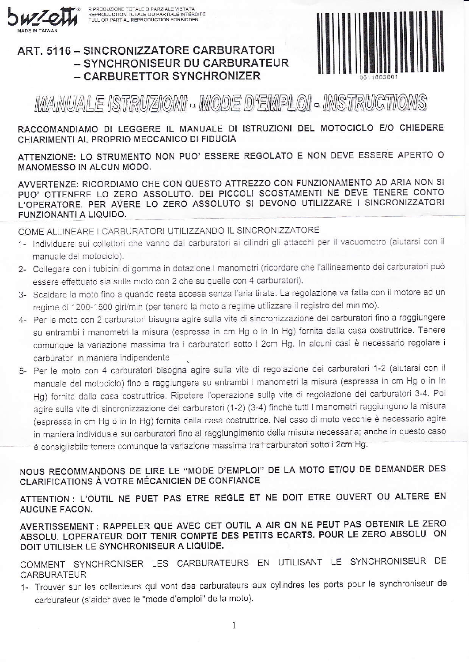

RODUZIONE TOTALE O PARZIALE VIETATA REPRODUCTION TOTALE OU PARTIALE INTERDITE FULL OR PARTIAL REPRODUCTION FORBIDDEN

# ART. 5116 - SINCRONIZZATORE CARBURATORI - SYNCHRONISEUR DU CARBURATEUR - CARBURETTOR SYNCHRONIZER



MANUALE ISTRUZIONI - MODE D'EMPLOI - INSTRUCTIONS

RACCOMANDIAMO DI LEGGERE IL MANUALE DI ISTRUZIONI DEL MOTOCICLO E/O CHIEDERE CHIARIMENTI AL PROPRIO MECCANICO DI FIDUCIA

ATTENZIONE: LO STRUMENTO NON PUO' ESSERE REGOLATO E NON DEVE ESSERE APERTO O MANOMESSO IN ALCUN MODO.

AVVERTENZE: RICORDIAMO CHE CON QUESTO ATTREZZO CON FUNZIONAMENTO AD ARIA NON SI PUO' OTTENERE LO ZERO ASSOLUTO. DEI PICCOLI SCOSTAMENTI NE DEVE TENERE CONTO L'OPERATORE. PER AVERE LO ZERO ASSOLUTO SI DEVONO UTILIZZARE I SINCRONIZZATORI FUNZIONANTI A LIQUIDO.

COME ALLINEARE I CARBURATORI UTILIZZANDO IL SINCRONIZZATORE

- 1- Individuare sui collettori che vanno dai carburatori ai cilindri gli attacchi per il vacuometro (aiutarsi con il manuale del motociclo).
- 2- Collegare con i tubicini di gomma in dotazione i manometri (ricordare che l'allineamento dei carburatori può essere effettuato sia sulle moto con 2 che su quelle con 4 carburatori).
- 3- Scaldare la moto fino a quando resta accesa senza l'aria tirata. La regolazione va fatta con il motore ad un regime di 1200-1500 giri/min (per tenere la moto a regime utilizzare il registro del minimo).
- 4- Per le moto con 2 carburatori bisogna agire sulla vite di sincronizzazione dei carburatori fino a raggiungere su entrambi i manometri la misura (espressa in cm Hg o in In Hg) fornita dalla casa costruttrice. Tenere comunque la variazione massima tra i carburatori sotto i 2cm Hg. In alcuni casi è necessario regolare i carburatori in maniera indipendente
- 5- Per le moto con 4 carburatori bisogna agire sulla vite di regolazione dei carburatori 1-2 (aiutarsi con il manuale del motociclo) fino a raggiungere su entrambi i manometri la misura (espressa in cm Hg o in In Hg) fornita dalla casa costruttrice. Ripetere l'operazione sulla vite di regolazione dei carburatori 3-4. Poi agire sulla vite di sincronizzazione dei carburatori (1-2) (3-4) finché tutti i manometri raggiungono la misura (espressa in cm Hg o in In Hg) fornita dalla casa costruttrice. Nel caso di moto vecchie è necessario agire in maniera individuale sui carburatori fino al raggiungimento della misura necessaria; anche in questo caso è consigliabile tenere comunque la variazione massima tra i carburatori sotto i 2cm Hg.

## NOUS RECOMMANDONS DE LIRE LE "MODE D'EMPLOI" DE LA MOTO ET/OU DE DEMANDER DES CLARIFICATIONS À VOTRE MÉCANICIEN DE CONFIANCE

ATTENTION: L'OUTIL NE PUET PAS ETRE REGLE ET NE DOIT ETRE OUVERT OU ALTERE EN AUCUNE FACON.

AVERTISSEMENT : RAPPELER QUE AVEC CET OUTIL A AIR ON NE PEUT PAS OBTENIR LE ZERO ABSOLU. LOPERATEUR DOIT TENIR COMPTE DES PETITS ECARTS. POUR LE ZERO ABSOLU ON DOIT UTILISER LE SYNCHRONISEUR A LIQUIDE.

COMMENT SYNCHRONISER LES CARBURATEURS EN UTILISANT LE SYNCHRONISEUR DE CARBURATEUR

1- Trouver sur les collecteurs qui vont des carburateurs aux cylindres les ports pour le synchroniseur de carburateur (s'aider avec le "mode d'emploi" de la moto).